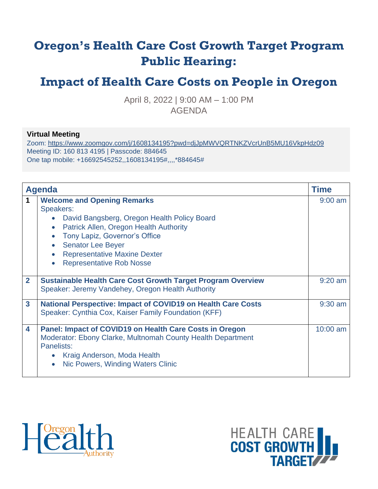## **Oregon's Health Care Cost Growth Target Program Public Hearing:**

## **Impact of Health Care Costs on People in Oregon**

April 8, 2022 | 9:00 AM – 1:00 PM AGENDA

## **Virtual Meeting**

Zoom:<https://www.zoomgov.com/j/1608134195?pwd=djJpMWVQRTNKZVcrUnB5MU16VkpHdz09> Meeting ID: 160 813 4195 | Passcode: 884645 One tap mobile: +16692545252,,1608134195#,,,,\*884645#

| <b>Agenda</b>  |                                                                                                                                                                                                                                                                                 | <b>Time</b> |
|----------------|---------------------------------------------------------------------------------------------------------------------------------------------------------------------------------------------------------------------------------------------------------------------------------|-------------|
| 1              | <b>Welcome and Opening Remarks</b><br>Speakers:<br>David Bangsberg, Oregon Health Policy Board<br>Patrick Allen, Oregon Health Authority<br>Tony Lapiz, Governor's Office<br><b>Senator Lee Beyer</b><br><b>Representative Maxine Dexter</b><br><b>Representative Rob Nosse</b> | $9:00$ am   |
| $\overline{2}$ | <b>Sustainable Health Care Cost Growth Target Program Overview</b><br>Speaker: Jeremy Vandehey, Oregon Health Authority                                                                                                                                                         | $9:20$ am   |
| $\mathbf{3}$   | <b>National Perspective: Impact of COVID19 on Health Care Costs</b><br>Speaker: Cynthia Cox, Kaiser Family Foundation (KFF)                                                                                                                                                     | $9:30$ am   |
| 4              | Panel: Impact of COVID19 on Health Care Costs in Oregon<br>Moderator: Ebony Clarke, Multnomah County Health Department<br>Panelists:<br>Kraig Anderson, Moda Health<br>Nic Powers, Winding Waters Clinic                                                                        | $10:00$ am  |